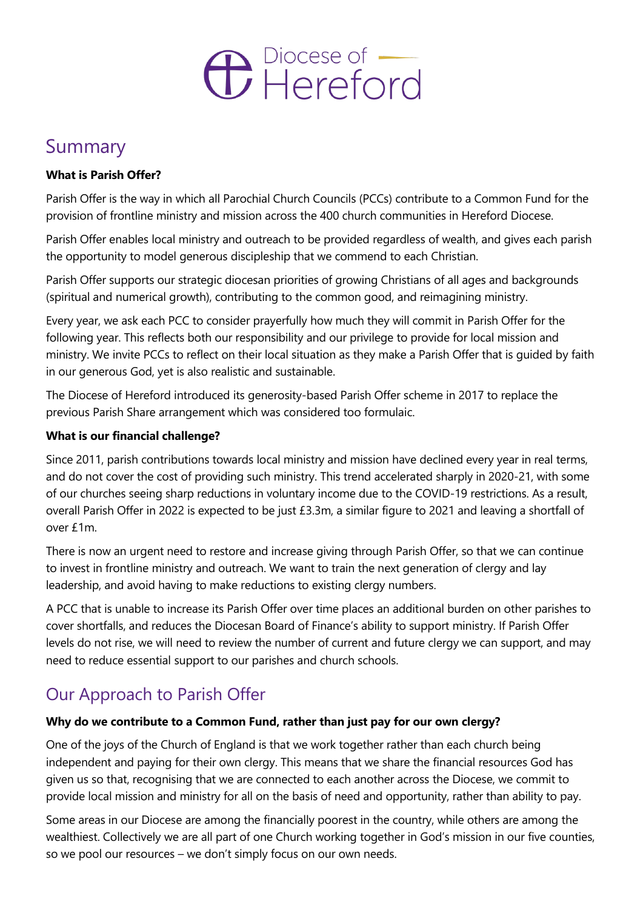

# Summary

### **What is Parish Offer?**

Parish Offer is the way in which all Parochial Church Councils (PCCs) contribute to a Common Fund for the provision of frontline ministry and mission across the 400 church communities in Hereford Diocese.

Parish Offer enables local ministry and outreach to be provided regardless of wealth, and gives each parish the opportunity to model generous discipleship that we commend to each Christian.

Parish Offer supports our strategic diocesan priorities of growing Christians of all ages and backgrounds (spiritual and numerical growth), contributing to the common good, and reimagining ministry.

Every year, we ask each PCC to consider prayerfully how much they will commit in Parish Offer for the following year. This reflects both our responsibility and our privilege to provide for local mission and ministry. We invite PCCs to reflect on their local situation as they make a Parish Offer that is guided by faith in our generous God, yet is also realistic and sustainable.

The Diocese of Hereford introduced its generosity-based Parish Offer scheme in 2017 to replace the previous Parish Share arrangement which was considered too formulaic.

### **What is our financial challenge?**

Since 2011, parish contributions towards local ministry and mission have declined every year in real terms, and do not cover the cost of providing such ministry. This trend accelerated sharply in 2020-21, with some of our churches seeing sharp reductions in voluntary income due to the COVID-19 restrictions. As a result, overall Parish Offer in 2022 is expected to be just £3.3m, a similar figure to 2021 and leaving a shortfall of over £1m.

There is now an urgent need to restore and increase giving through Parish Offer, so that we can continue to invest in frontline ministry and outreach. We want to train the next generation of clergy and lay leadership, and avoid having to make reductions to existing clergy numbers.

A PCC that is unable to increase its Parish Offer over time places an additional burden on other parishes to cover shortfalls, and reduces the Diocesan Board of Finance's ability to support ministry. If Parish Offer levels do not rise, we will need to review the number of current and future clergy we can support, and may need to reduce essential support to our parishes and church schools.

## Our Approach to Parish Offer

#### **Why do we contribute to a Common Fund, rather than just pay for our own clergy?**

One of the joys of the Church of England is that we work together rather than each church being independent and paying for their own clergy. This means that we share the financial resources God has given us so that, recognising that we are connected to each another across the Diocese, we commit to provide local mission and ministry for all on the basis of need and opportunity, rather than ability to pay.

Some areas in our Diocese are among the financially poorest in the country, while others are among the wealthiest. Collectively we are all part of one Church working together in God's mission in our five counties, so we pool our resources – we don't simply focus on our own needs.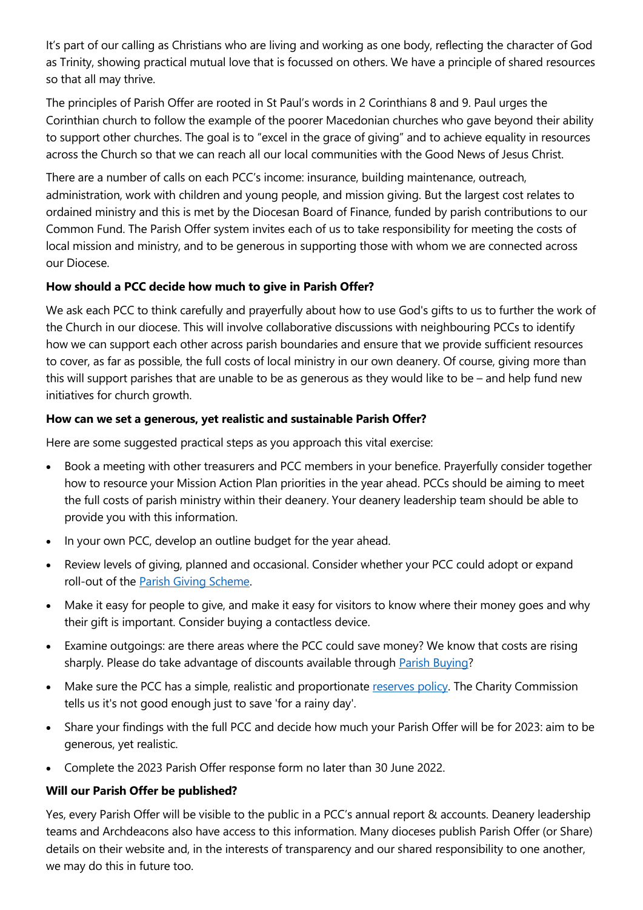It's part of our calling as Christians who are living and working as one body, reflecting the character of God as Trinity, showing practical mutual love that is focussed on others. We have a principle of shared resources so that all may thrive.

The principles of Parish Offer are rooted in St Paul's words in 2 Corinthians 8 and 9. Paul urges the Corinthian church to follow the example of the poorer Macedonian churches who gave beyond their ability to support other churches. The goal is to "excel in the grace of giving" and to achieve equality in resources across the Church so that we can reach all our local communities with the Good News of Jesus Christ.

There are a number of calls on each PCC's income: insurance, building maintenance, outreach, administration, work with children and young people, and mission giving. But the largest cost relates to ordained ministry and this is met by the Diocesan Board of Finance, funded by parish contributions to our Common Fund. The Parish Offer system invites each of us to take responsibility for meeting the costs of local mission and ministry, and to be generous in supporting those with whom we are connected across our Diocese.

### **How should a PCC decide how much to give in Parish Offer?**

We ask each PCC to think carefully and prayerfully about how to use God's gifts to us to further the work of the Church in our diocese. This will involve collaborative discussions with neighbouring PCCs to identify how we can support each other across parish boundaries and ensure that we provide sufficient resources to cover, as far as possible, the full costs of local ministry in our own deanery. Of course, giving more than this will support parishes that are unable to be as generous as they would like to be – and help fund new initiatives for church growth.

### **How can we set a generous, yet realistic and sustainable Parish Offer?**

Here are some suggested practical steps as you approach this vital exercise:

- Book a meeting with other treasurers and PCC members in your benefice. Prayerfully consider together how to resource your Mission Action Plan priorities in the year ahead. PCCs should be aiming to meet the full costs of parish ministry within their deanery. Your deanery leadership team should be able to provide you with this information.
- In your own PCC, develop an outline budget for the year ahead.
- Review levels of giving, planned and occasional. Consider whether your PCC could adopt or expand roll-out of the [Parish Giving Scheme.](https://www.hereford.anglican.org/parish-support/generous-giving/parish-giving-scheme/)
- Make it easy for people to give, and make it easy for visitors to know where their money goes and why their gift is important. Consider buying a contactless device.
- Examine outgoings: are there areas where the PCC could save money? We know that costs are rising sharply. Please do take advantage of discounts available through [Parish Buying?](https://www.parishbuying.org.uk/)
- Make sure the PCC has a simple, realistic and proportionate [reserves policy.](https://www.parishresources.org.uk/pccs/managing-reserves/) The Charity Commission tells us it's not good enough just to save 'for a rainy day'.
- Share your findings with the full PCC and decide how much your Parish Offer will be for 2023: aim to be generous, yet realistic.
- Complete the 2023 Parish Offer response form no later than 30 June 2022.

### **Will our Parish Offer be published?**

Yes, every Parish Offer will be visible to the public in a PCC's annual report & accounts. Deanery leadership teams and Archdeacons also have access to this information. Many dioceses publish Parish Offer (or Share) details on their website and, in the interests of transparency and our shared responsibility to one another, we may do this in future too.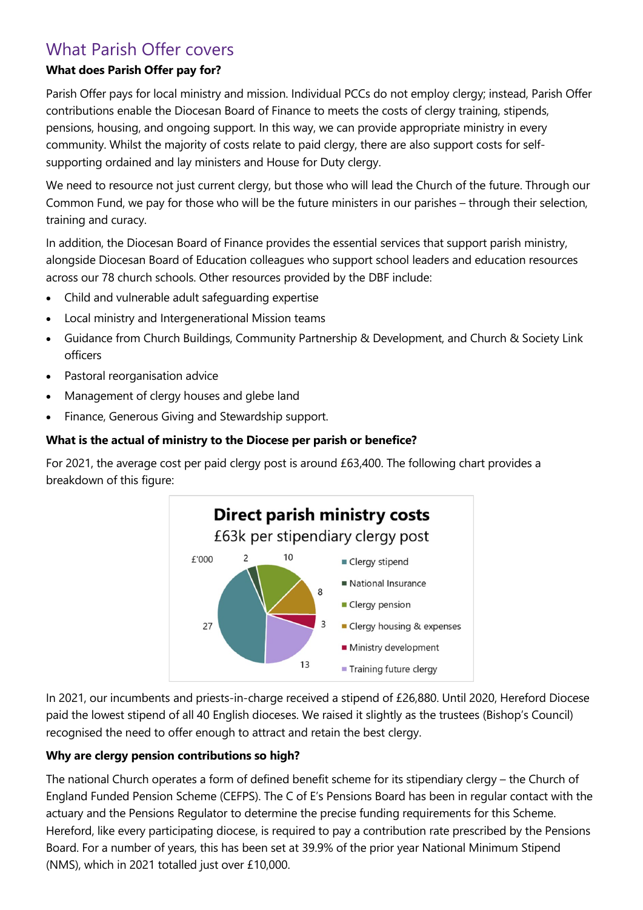## What Parish Offer covers

## **What does Parish Offer pay for?**

Parish Offer pays for local ministry and mission. Individual PCCs do not employ clergy; instead, Parish Offer contributions enable the Diocesan Board of Finance to meets the costs of clergy training, stipends, pensions, housing, and ongoing support. In this way, we can provide appropriate ministry in every community. Whilst the majority of costs relate to paid clergy, there are also support costs for selfsupporting ordained and lay ministers and House for Duty clergy.

We need to resource not just current clergy, but those who will lead the Church of the future. Through our Common Fund, we pay for those who will be the future ministers in our parishes – through their selection, training and curacy.

In addition, the Diocesan Board of Finance provides the essential services that support parish ministry, alongside Diocesan Board of Education colleagues who support school leaders and education resources across our 78 church schools. Other resources provided by the DBF include:

- Child and vulnerable adult safeguarding expertise
- Local ministry and Intergenerational Mission teams
- Guidance from Church Buildings, Community Partnership & Development, and Church & Society Link officers
- Pastoral reorganisation advice
- Management of clergy houses and glebe land
- Finance, Generous Giving and Stewardship support.

### **What is the actual of ministry to the Diocese per parish or benefice?**

For 2021, the average cost per paid clergy post is around £63,400. The following chart provides a breakdown of this figure:



In 2021, our incumbents and priests-in-charge received a stipend of £26,880. Until 2020, Hereford Diocese paid the lowest stipend of all 40 English dioceses. We raised it slightly as the trustees (Bishop's Council) recognised the need to offer enough to attract and retain the best clergy.

### **Why are clergy pension contributions so high?**

The national Church operates a form of defined benefit scheme for its stipendiary clergy – the Church of England Funded Pension Scheme (CEFPS). The C of E's Pensions Board has been in regular contact with the actuary and the Pensions Regulator to determine the precise funding requirements for this Scheme. Hereford, like every participating diocese, is required to pay a contribution rate prescribed by the Pensions Board. For a number of years, this has been set at 39.9% of the prior year National Minimum Stipend (NMS), which in 2021 totalled just over £10,000.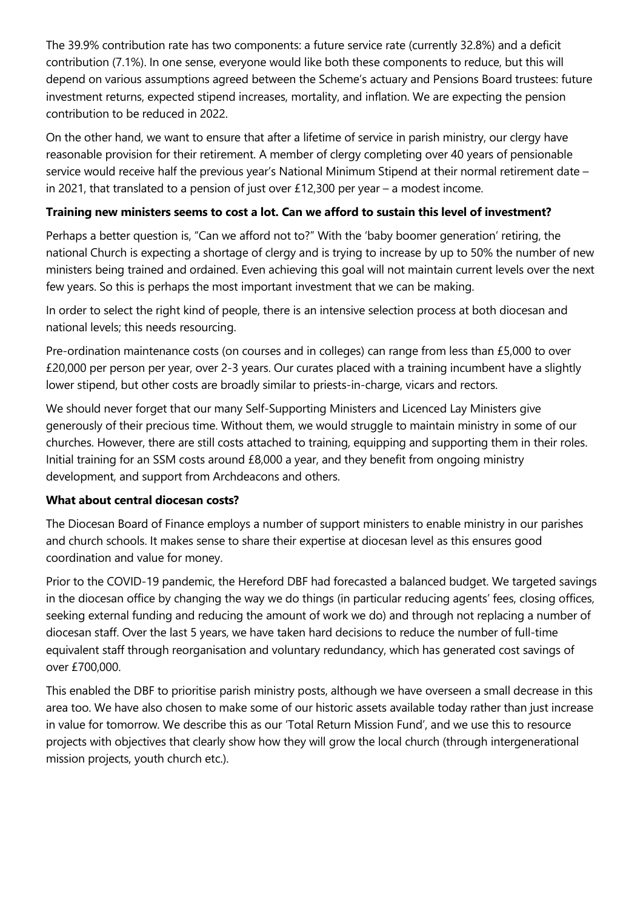The 39.9% contribution rate has two components: a future service rate (currently 32.8%) and a deficit contribution (7.1%). In one sense, everyone would like both these components to reduce, but this will depend on various assumptions agreed between the Scheme's actuary and Pensions Board trustees: future investment returns, expected stipend increases, mortality, and inflation. We are expecting the pension contribution to be reduced in 2022.

On the other hand, we want to ensure that after a lifetime of service in parish ministry, our clergy have reasonable provision for their retirement. A member of clergy completing over 40 years of pensionable service would receive half the previous year's National Minimum Stipend at their normal retirement date – in 2021, that translated to a pension of just over £12,300 per year – a modest income.

### **Training new ministers seems to cost a lot. Can we afford to sustain this level of investment?**

Perhaps a better question is, "Can we afford not to?" With the 'baby boomer generation' retiring, the national Church is expecting a shortage of clergy and is trying to increase by up to 50% the number of new ministers being trained and ordained. Even achieving this goal will not maintain current levels over the next few years. So this is perhaps the most important investment that we can be making.

In order to select the right kind of people, there is an intensive selection process at both diocesan and national levels; this needs resourcing.

Pre-ordination maintenance costs (on courses and in colleges) can range from less than £5,000 to over £20,000 per person per year, over 2-3 years. Our curates placed with a training incumbent have a slightly lower stipend, but other costs are broadly similar to priests-in-charge, vicars and rectors.

We should never forget that our many Self-Supporting Ministers and Licenced Lay Ministers give generously of their precious time. Without them, we would struggle to maintain ministry in some of our churches. However, there are still costs attached to training, equipping and supporting them in their roles. Initial training for an SSM costs around £8,000 a year, and they benefit from ongoing ministry development, and support from Archdeacons and others.

### **What about central diocesan costs?**

The Diocesan Board of Finance employs a number of support ministers to enable ministry in our parishes and church schools. It makes sense to share their expertise at diocesan level as this ensures good coordination and value for money.

Prior to the COVID-19 pandemic, the Hereford DBF had forecasted a balanced budget. We targeted savings in the diocesan office by changing the way we do things (in particular reducing agents' fees, closing offices, seeking external funding and reducing the amount of work we do) and through not replacing a number of diocesan staff. Over the last 5 years, we have taken hard decisions to reduce the number of full-time equivalent staff through reorganisation and voluntary redundancy, which has generated cost savings of over £700,000.

This enabled the DBF to prioritise parish ministry posts, although we have overseen a small decrease in this area too. We have also chosen to make some of our historic assets available today rather than just increase in value for tomorrow. We describe this as our 'Total Return Mission Fund', and we use this to resource projects with objectives that clearly show how they will grow the local church (through intergenerational mission projects, youth church etc.).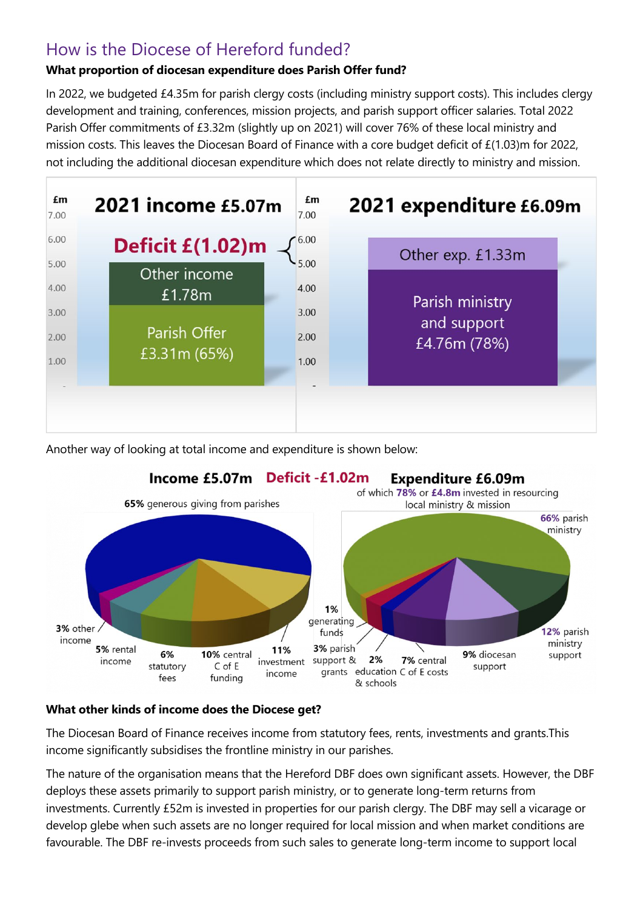## How is the Diocese of Hereford funded?

## **What proportion of diocesan expenditure does Parish Offer fund?**

In 2022, we budgeted £4.35m for parish clergy costs (including ministry support costs). This includes clergy development and training, conferences, mission projects, and parish support officer salaries. Total 2022 Parish Offer commitments of £3.32m (slightly up on 2021) will cover 76% of these local ministry and mission costs. This leaves the Diocesan Board of Finance with a core budget deficit of £(1.03)m for 2022, not including the additional diocesan expenditure which does not relate directly to ministry and mission.



Another way of looking at total income and expenditure is shown below:



### **What other kinds of income does the Diocese get?**

The Diocesan Board of Finance receives income from statutory fees, rents, investments and grants.This income significantly subsidises the frontline ministry in our parishes.

The nature of the organisation means that the Hereford DBF does own significant assets. However, the DBF deploys these assets primarily to support parish ministry, or to generate long-term returns from investments. Currently £52m is invested in properties for our parish clergy. The DBF may sell a vicarage or develop glebe when such assets are no longer required for local mission and when market conditions are favourable. The DBF re-invests proceeds from such sales to generate long-term income to support local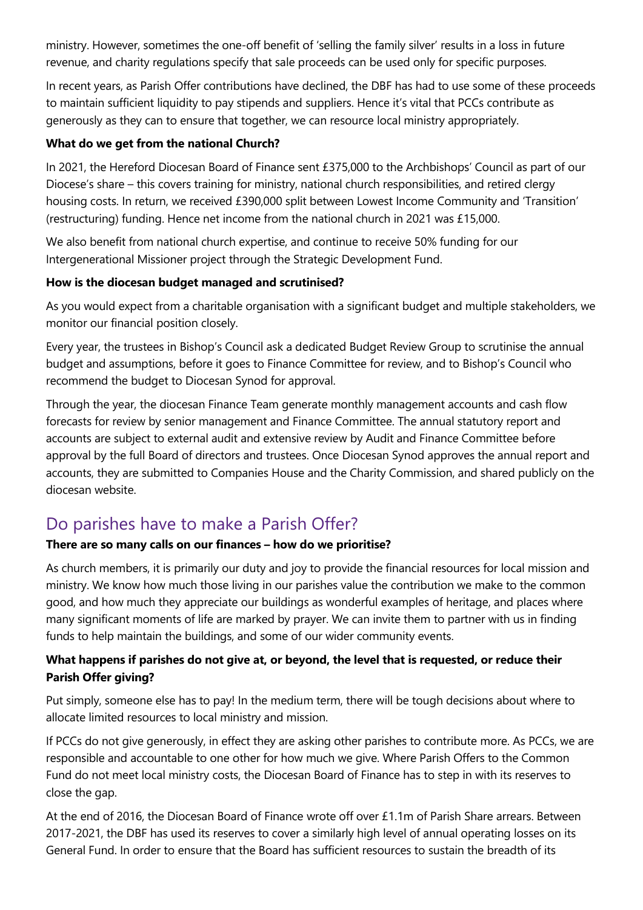ministry. However, sometimes the one-off benefit of 'selling the family silver' results in a loss in future revenue, and charity regulations specify that sale proceeds can be used only for specific purposes.

In recent years, as Parish Offer contributions have declined, the DBF has had to use some of these proceeds to maintain sufficient liquidity to pay stipends and suppliers. Hence it's vital that PCCs contribute as generously as they can to ensure that together, we can resource local ministry appropriately.

### **What do we get from the national Church?**

In 2021, the Hereford Diocesan Board of Finance sent £375,000 to the Archbishops' Council as part of our Diocese's share – this covers training for ministry, national church responsibilities, and retired clergy housing costs. In return, we received £390,000 split between Lowest Income Community and 'Transition' (restructuring) funding. Hence net income from the national church in 2021 was £15,000.

We also benefit from national church expertise, and continue to receive 50% funding for our Intergenerational Missioner project through the Strategic Development Fund.

### **How is the diocesan budget managed and scrutinised?**

As you would expect from a charitable organisation with a significant budget and multiple stakeholders, we monitor our financial position closely.

Every year, the trustees in Bishop's Council ask a dedicated Budget Review Group to scrutinise the annual budget and assumptions, before it goes to Finance Committee for review, and to Bishop's Council who recommend the budget to Diocesan Synod for approval.

Through the year, the diocesan Finance Team generate monthly management accounts and cash flow forecasts for review by senior management and Finance Committee. The annual statutory report and accounts are subject to external audit and extensive review by Audit and Finance Committee before approval by the full Board of directors and trustees. Once Diocesan Synod approves the annual report and accounts, they are submitted to Companies House and the Charity Commission, and shared publicly on the diocesan website.

## Do parishes have to make a Parish Offer?

#### **There are so many calls on our finances – how do we prioritise?**

As church members, it is primarily our duty and joy to provide the financial resources for local mission and ministry. We know how much those living in our parishes value the contribution we make to the common good, and how much they appreciate our buildings as wonderful examples of heritage, and places where many significant moments of life are marked by prayer. We can invite them to partner with us in finding funds to help maintain the buildings, and some of our wider community events.

### **What happens if parishes do not give at, or beyond, the level that is requested, or reduce their Parish Offer giving?**

Put simply, someone else has to pay! In the medium term, there will be tough decisions about where to allocate limited resources to local ministry and mission.

If PCCs do not give generously, in effect they are asking other parishes to contribute more. As PCCs, we are responsible and accountable to one other for how much we give. Where Parish Offers to the Common Fund do not meet local ministry costs, the Diocesan Board of Finance has to step in with its reserves to close the gap.

At the end of 2016, the Diocesan Board of Finance wrote off over £1.1m of Parish Share arrears. Between 2017-2021, the DBF has used its reserves to cover a similarly high level of annual operating losses on its General Fund. In order to ensure that the Board has sufficient resources to sustain the breadth of its